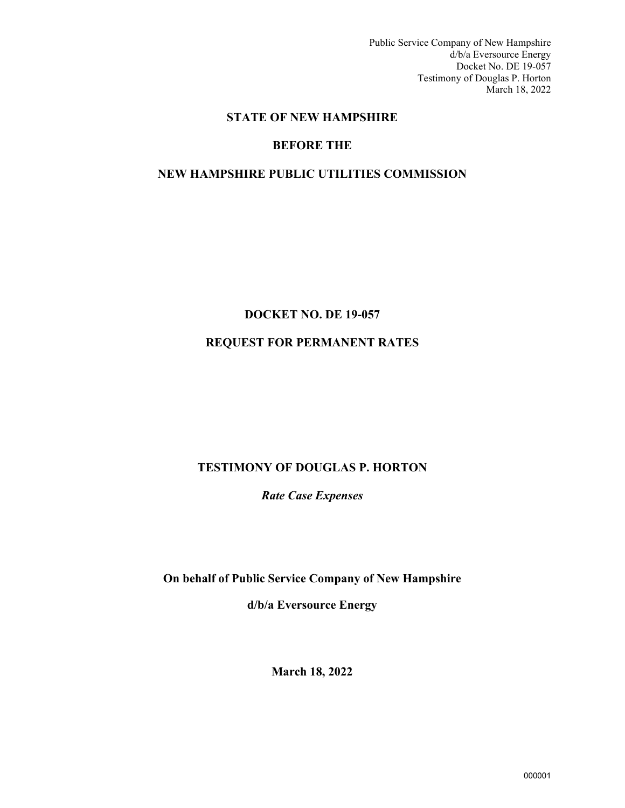Public Service Company of New Hampshire d/b/a Eversource Energy Docket No. DE 19-057 Testimony of Douglas P. Horton March 18, 2022

# **STATE OF NEW HAMPSHIRE**

# **BEFORE THE**

# **NEW HAMPSHIRE PUBLIC UTILITIES COMMISSION**

# **DOCKET NO. DE 19-057**

# **REQUEST FOR PERMANENT RATES**

# **TESTIMONY OF DOUGLAS P. HORTON**

*Rate Case Expenses* 

**On behalf of Public Service Company of New Hampshire** 

**d/b/a Eversource Energy**

**March 18, 2022**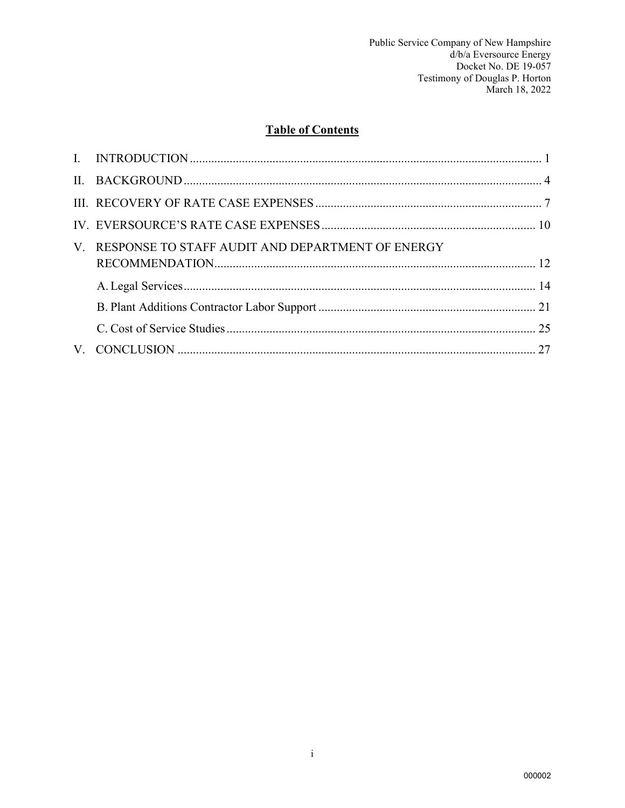# **Table of Contents**

| V. RESPONSE TO STAFF AUDIT AND DEPARTMENT OF ENERGY |  |
|-----------------------------------------------------|--|
|                                                     |  |
|                                                     |  |
|                                                     |  |
|                                                     |  |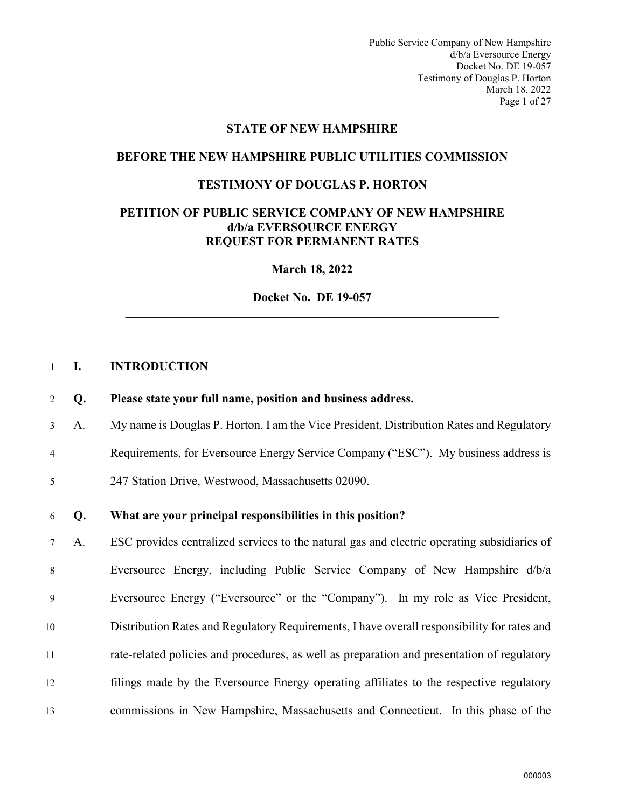Public Service Company of New Hampshire d/b/a Eversource Energy Docket No. DE 19-057 Testimony of Douglas P. Horton March 18, 2022 Page 1 of 27

#### **STATE OF NEW HAMPSHIRE**

#### **BEFORE THE NEW HAMPSHIRE PUBLIC UTILITIES COMMISSION**

#### **TESTIMONY OF DOUGLAS P. HORTON**

#### **PETITION OF PUBLIC SERVICE COMPANY OF NEW HAMPSHIRE d/b/a EVERSOURCE ENERGY REQUEST FOR PERMANENT RATES**

**March 18, 2022** 

**Docket No. DE 19-057 \_\_\_\_\_\_\_\_\_\_\_\_\_\_\_\_\_\_\_\_\_\_\_\_\_\_\_\_\_\_\_\_\_\_\_\_\_\_\_\_\_\_\_\_\_\_\_\_\_\_\_\_\_\_\_\_\_\_\_\_\_** 

#### <span id="page-2-0"></span>1 **I. INTRODUCTION**

- 2 **Q. Please state your full name, position and business address.**
- 3 A. My name is Douglas P. Horton. I am the Vice President, Distribution Rates and Regulatory
- 4 Requirements, for Eversource Energy Service Company ("ESC"). My business address is
- 5 247 Station Drive, Westwood, Massachusetts 02090.

#### 6 **Q. What are your principal responsibilities in this position?**

7 A. ESC provides centralized services to the natural gas and electric operating subsidiaries of 8 Eversource Energy, including Public Service Company of New Hampshire d/b/a 9 Eversource Energy ("Eversource" or the "Company"). In my role as Vice President, 10 Distribution Rates and Regulatory Requirements, I have overall responsibility for rates and 11 rate-related policies and procedures, as well as preparation and presentation of regulatory 12 filings made by the Eversource Energy operating affiliates to the respective regulatory 13 commissions in New Hampshire, Massachusetts and Connecticut. In this phase of the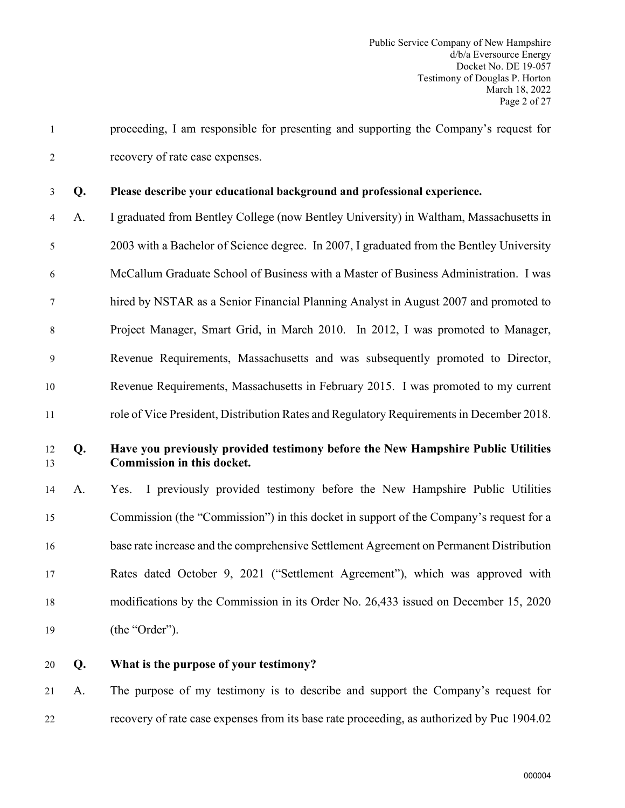1 proceeding, I am responsible for presenting and supporting the Company's request for 2 recovery of rate case expenses.

#### 3 **Q. Please describe your educational background and professional experience.**

4 A. I graduated from Bentley College (now Bentley University) in Waltham, Massachusetts in 5 2003 with a Bachelor of Science degree. In 2007, I graduated from the Bentley University 6 McCallum Graduate School of Business with a Master of Business Administration. I was 7 hired by NSTAR as a Senior Financial Planning Analyst in August 2007 and promoted to 8 Project Manager, Smart Grid, in March 2010. In 2012, I was promoted to Manager, 9 Revenue Requirements, Massachusetts and was subsequently promoted to Director, 10 Revenue Requirements, Massachusetts in February 2015. I was promoted to my current 11 role of Vice President, Distribution Rates and Regulatory Requirements in December 2018.

# 12 **Q. Have you previously provided testimony before the New Hampshire Public Utilities**  13 **Commission in this docket.**

 A. Yes. I previously provided testimony before the New Hampshire Public Utilities Commission (the "Commission") in this docket in support of the Company's request for a base rate increase and the comprehensive Settlement Agreement on Permanent Distribution Rates dated October 9, 2021 ("Settlement Agreement"), which was approved with modifications by the Commission in its Order No. 26,433 issued on December 15, 2020 19 (the "Order").

20 **Q. What is the purpose of your testimony?**

21 A. The purpose of my testimony is to describe and support the Company's request for 22 recovery of rate case expenses from its base rate proceeding, as authorized by Puc 1904.02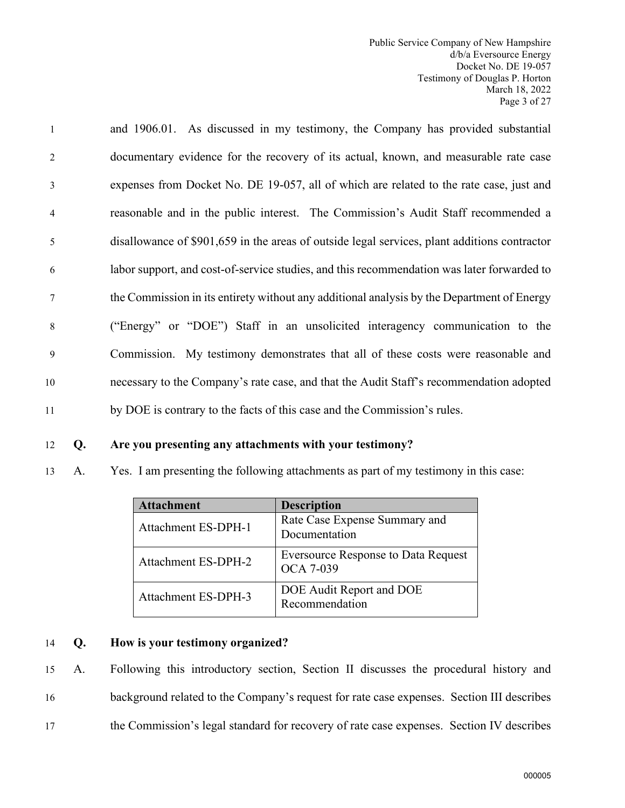1 and 1906.01. As discussed in my testimony, the Company has provided substantial 2 documentary evidence for the recovery of its actual, known, and measurable rate case 3 expenses from Docket No. DE 19-057, all of which are related to the rate case, just and 4 reasonable and in the public interest. The Commission's Audit Staff recommended a 5 disallowance of \$901,659 in the areas of outside legal services, plant additions contractor 6 labor support, and cost-of-service studies, and this recommendation was later forwarded to 7 the Commission in its entirety without any additional analysis by the Department of Energy 8 ("Energy" or "DOE") Staff in an unsolicited interagency communication to the 9 Commission. My testimony demonstrates that all of these costs were reasonable and 10 necessary to the Company's rate case, and that the Audit Staff's recommendation adopted 11 by DOE is contrary to the facts of this case and the Commission's rules.

#### 12 **Q. Are you presenting any attachments with your testimony?**

13 A. Yes. I am presenting the following attachments as part of my testimony in this case:

| <b>Attachment</b>          | <b>Description</b>                                             |
|----------------------------|----------------------------------------------------------------|
| <b>Attachment ES-DPH-1</b> | Rate Case Expense Summary and<br>Documentation                 |
| <b>Attachment ES-DPH-2</b> | <b>Eversource Response to Data Request</b><br><b>OCA 7-039</b> |
| Attachment ES-DPH-3        | DOE Audit Report and DOE<br>Recommendation                     |

#### 14 **Q. How is your testimony organized?**

15 A. Following this introductory section, Section II discusses the procedural history and 16 background related to the Company's request for rate case expenses. Section III describes 17 the Commission's legal standard for recovery of rate case expenses. Section IV describes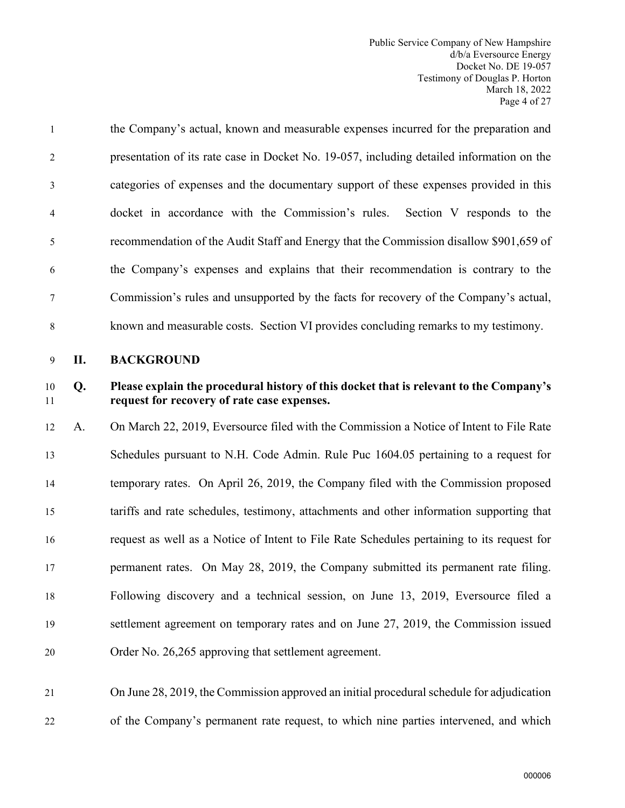| 1              | the Company's actual, known and measurable expenses incurred for the preparation and      |
|----------------|-------------------------------------------------------------------------------------------|
| 2              | presentation of its rate case in Docket No. 19-057, including detailed information on the |
| 3              | categories of expenses and the documentary support of these expenses provided in this     |
| $\overline{4}$ | docket in accordance with the Commission's rules.<br>Section V responds to the            |
| 5              | recommendation of the Audit Staff and Energy that the Commission disallow \$901,659 of    |
| 6              | the Company's expenses and explains that their recommendation is contrary to the          |
| $\tau$         | Commission's rules and unsupported by the facts for recovery of the Company's actual,     |
| 8              | known and measurable costs. Section VI provides concluding remarks to my testimony.       |

<span id="page-5-0"></span>9 **II. BACKGROUND**

# 10 **Q. Please explain the procedural history of this docket that is relevant to the Company's**  11 **request for recovery of rate case expenses.**

 A. On March 22, 2019, Eversource filed with the Commission a Notice of Intent to File Rate Schedules pursuant to N.H. Code Admin. Rule Puc 1604.05 pertaining to a request for temporary rates. On April 26, 2019, the Company filed with the Commission proposed tariffs and rate schedules, testimony, attachments and other information supporting that request as well as a Notice of Intent to File Rate Schedules pertaining to its request for permanent rates. On May 28, 2019, the Company submitted its permanent rate filing. Following discovery and a technical session, on June 13, 2019, Eversource filed a settlement agreement on temporary rates and on June 27, 2019, the Commission issued Order No. 26,265 approving that settlement agreement.

# 21 On June 28, 2019, the Commission approved an initial procedural schedule for adjudication 22 of the Company's permanent rate request, to which nine parties intervened, and which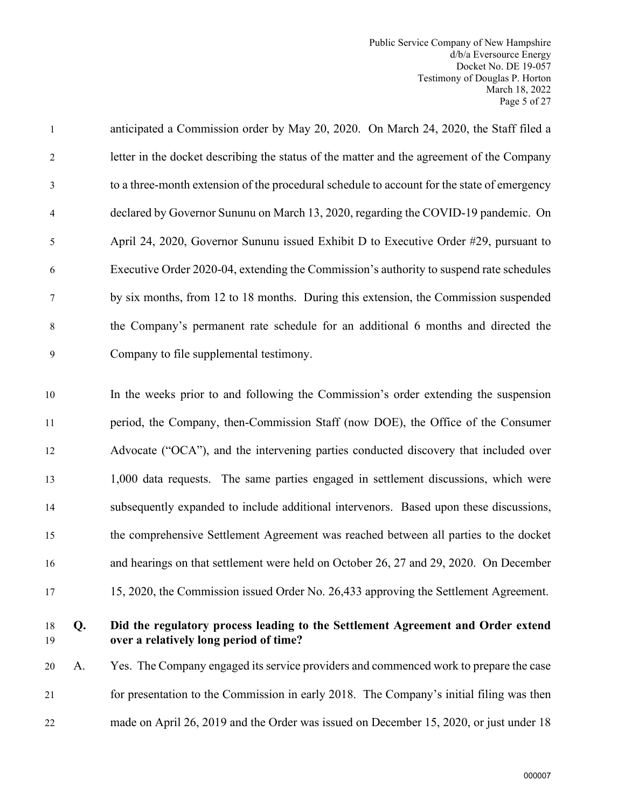1 anticipated a Commission order by May 20, 2020. On March 24, 2020, the Staff filed a 2 letter in the docket describing the status of the matter and the agreement of the Company 3 to a three-month extension of the procedural schedule to account for the state of emergency 4 declared by Governor Sununu on March 13, 2020, regarding the COVID-19 pandemic. On 5 April 24, 2020, Governor Sununu issued Exhibit D to Executive Order #29, pursuant to 6 Executive Order 2020-04, extending the Commission's authority to suspend rate schedules 7 by six months, from 12 to 18 months. During this extension, the Commission suspended 8 the Company's permanent rate schedule for an additional 6 months and directed the 9 Company to file supplemental testimony.

 In the weeks prior to and following the Commission's order extending the suspension period, the Company, then-Commission Staff (now DOE), the Office of the Consumer Advocate ("OCA"), and the intervening parties conducted discovery that included over 1,000 data requests. The same parties engaged in settlement discussions, which were subsequently expanded to include additional intervenors. Based upon these discussions, the comprehensive Settlement Agreement was reached between all parties to the docket and hearings on that settlement were held on October 26, 27 and 29, 2020. On December

# 17 15, 2020, the Commission issued Order No. 26,433 approving the Settlement Agreement.

# 18 **Q. Did the regulatory process leading to the Settlement Agreement and Order extend**  19 **over a relatively long period of time?**

20 A. Yes. The Company engaged its service providers and commenced work to prepare the case 21 for presentation to the Commission in early 2018. The Company's initial filing was then 22 made on April 26, 2019 and the Order was issued on December 15, 2020, or just under 18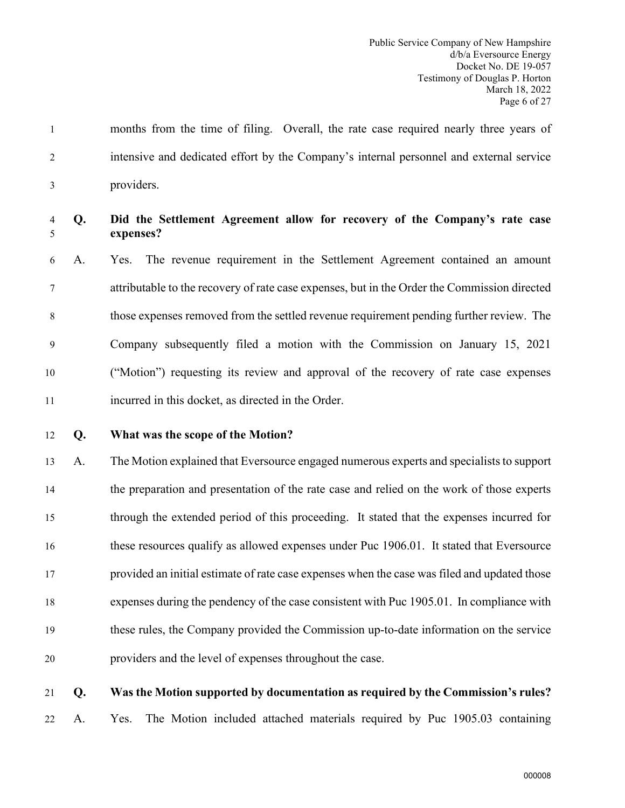1 months from the time of filing. Overall, the rate case required nearly three years of 2 intensive and dedicated effort by the Company's internal personnel and external service 3 providers.

# 4 **Q. Did the Settlement Agreement allow for recovery of the Company's rate case**  5 **expenses?**

6 A. Yes. The revenue requirement in the Settlement Agreement contained an amount 7 attributable to the recovery of rate case expenses, but in the Order the Commission directed 8 those expenses removed from the settled revenue requirement pending further review. The 9 Company subsequently filed a motion with the Commission on January 15, 2021 10 ("Motion") requesting its review and approval of the recovery of rate case expenses 11 incurred in this docket, as directed in the Order.

#### 12 **Q. What was the scope of the Motion?**

 A. The Motion explained that Eversource engaged numerous experts and specialists to support the preparation and presentation of the rate case and relied on the work of those experts through the extended period of this proceeding. It stated that the expenses incurred for these resources qualify as allowed expenses under Puc 1906.01. It stated that Eversource provided an initial estimate of rate case expenses when the case was filed and updated those expenses during the pendency of the case consistent with Puc 1905.01. In compliance with these rules, the Company provided the Commission up-to-date information on the service providers and the level of expenses throughout the case.

#### 21 **Q. Was the Motion supported by documentation as required by the Commission's rules?**

22 A. Yes. The Motion included attached materials required by Puc 1905.03 containing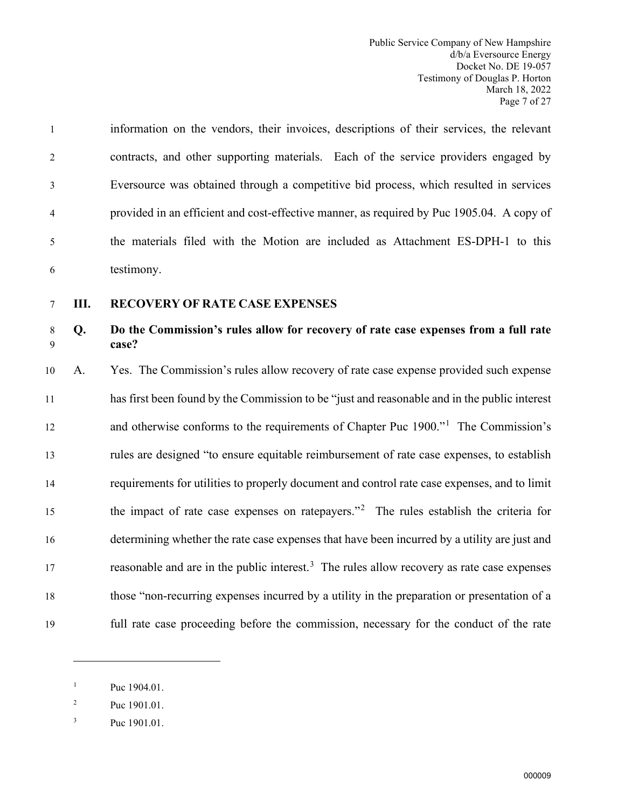1 information on the vendors, their invoices, descriptions of their services, the relevant 2 contracts, and other supporting materials. Each of the service providers engaged by 3 Eversource was obtained through a competitive bid process, which resulted in services 4 provided in an efficient and cost-effective manner, as required by Puc 1905.04. A copy of 5 the materials filed with the Motion are included as Attachment ES-DPH-1 to this 6 testimony.

#### <span id="page-8-0"></span>7 **III. RECOVERY OF RATE CASE EXPENSES**

# 8 **Q. Do the Commission's rules allow for recovery of rate case expenses from a full rate**  9 **case?**

 A. Yes. The Commission's rules allow recovery of rate case expense provided such expense has first been found by the Commission to be "just and reasonable and in the public interest 2 and otherwise conforms to the requirements of Chapter Puc 1900."<sup>1</sup> The Commission's rules are designed "to ensure equitable reimbursement of rate case expenses, to establish requirements for utilities to properly document and control rate case expenses, and to limit theimpact of rate case expenses on ratepayers."<sup>2</sup> The rules establish the criteria for determining whether the rate case expenses that have been incurred by a utility are just and 17 reasonable and are in the public interest.<sup>[3](#page-8-3)</sup> The rules allow recovery as rate case expenses those "non-recurring expenses incurred by a utility in the preparation or presentation of a full rate case proceeding before the commission, necessary for the conduct of the rate

<span id="page-8-1"></span><sup>1</sup> Puc 1904.01.

<span id="page-8-2"></span><sup>2</sup> Puc 1901.01.

<span id="page-8-3"></span><sup>3</sup> Puc 1901.01.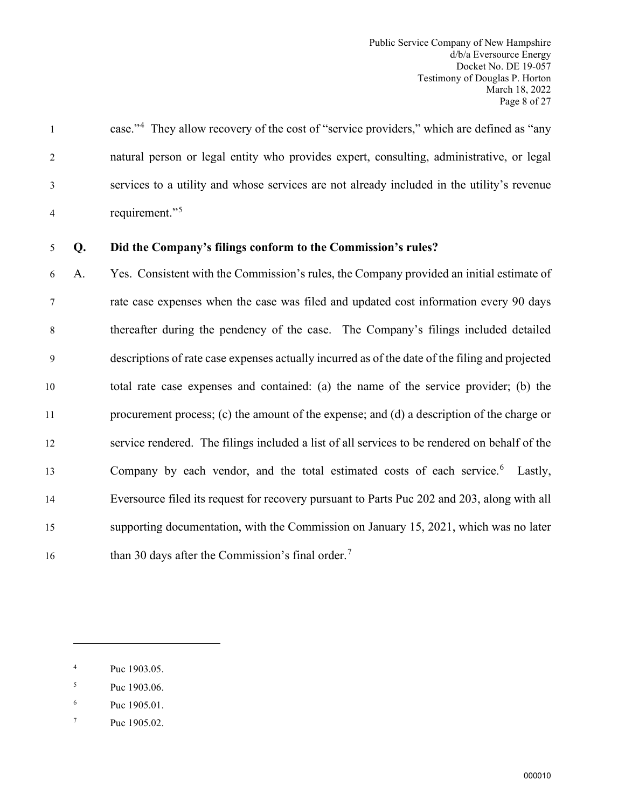case."<sup>4</sup> 1 They allow recovery of the cost of "service providers," which are defined as "any 2 natural person or legal entity who provides expert, consulting, administrative, or legal 3 services to a utility and whose services are not already included in the utility's revenue requirement."[5](#page-9-1) 4

# 5 **Q. Did the Company's filings conform to the Commission's rules?**

6 A. Yes. Consistent with the Commission's rules, the Company provided an initial estimate of 7 rate case expenses when the case was filed and updated cost information every 90 days 8 thereafter during the pendency of the case. The Company's filings included detailed 9 descriptions of rate case expenses actually incurred as of the date of the filing and projected 10 total rate case expenses and contained: (a) the name of the service provider; (b) the 11 procurement process; (c) the amount of the expense; and (d) a description of the charge or 12 service rendered. The filings included a list of all services to be rendered on behalf of the 13 Company by each vendor, and the total estimated costs of each service.<sup>[6](#page-9-2)</sup> Lastly, 14 Eversource filed its request for recovery pursuant to Parts Puc 202 and 203, along with all 15 supporting documentation, with the Commission on January 15, 2021, which was no later 16 than 30 days after the Commission's final order.<sup>[7](#page-9-3)</sup>

<span id="page-9-0"></span><sup>4</sup> Puc 1903.05.

<span id="page-9-1"></span><sup>5</sup> Puc 1903.06.

<span id="page-9-2"></span><sup>6</sup> Puc 1905.01.

<span id="page-9-3"></span><sup>7</sup> Puc 1905.02.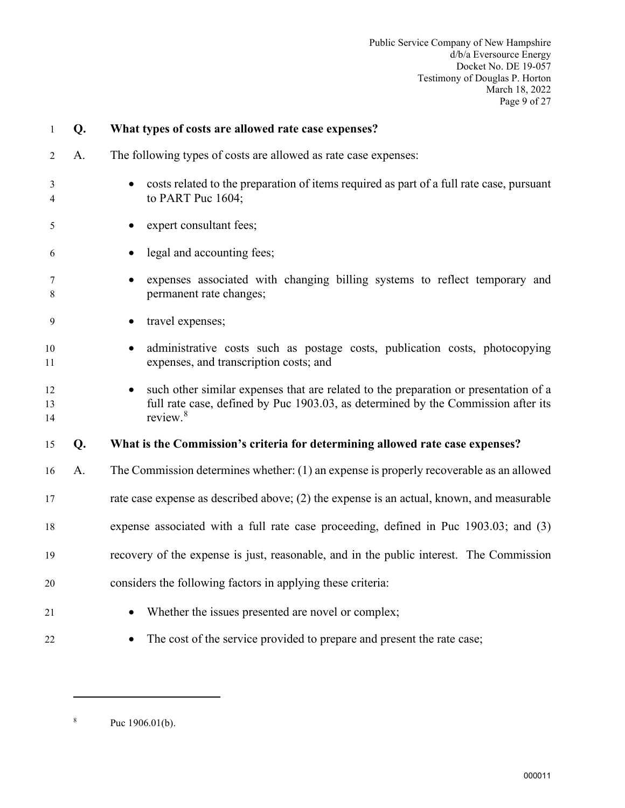| $\mathbf{1}$   | Q. | What types of costs are allowed rate case expenses?                                                                                                                                               |
|----------------|----|---------------------------------------------------------------------------------------------------------------------------------------------------------------------------------------------------|
| 2              | A. | The following types of costs are allowed as rate case expenses:                                                                                                                                   |
| 3<br>4         |    | costs related to the preparation of items required as part of a full rate case, pursuant<br>to PART Puc 1604;                                                                                     |
| 5              |    | expert consultant fees;                                                                                                                                                                           |
| 6              |    | legal and accounting fees;                                                                                                                                                                        |
| 7<br>8         |    | expenses associated with changing billing systems to reflect temporary and<br>permanent rate changes;                                                                                             |
| 9              |    | travel expenses;                                                                                                                                                                                  |
| 10<br>11       |    | administrative costs such as postage costs, publication costs, photocopying<br>expenses, and transcription costs; and                                                                             |
| 12<br>13<br>14 |    | such other similar expenses that are related to the preparation or presentation of a<br>full rate case, defined by Puc 1903.03, as determined by the Commission after its<br>review. <sup>8</sup> |
| 15             | Q. | What is the Commission's criteria for determining allowed rate case expenses?                                                                                                                     |
| 16             | A. | The Commission determines whether: (1) an expense is properly recoverable as an allowed                                                                                                           |
| 17             |    | rate case expense as described above; (2) the expense is an actual, known, and measurable                                                                                                         |
| 18             |    | expense associated with a full rate case proceeding, defined in Puc 1903.03; and (3)                                                                                                              |
| 19             |    | recovery of the expense is just, reasonable, and in the public interest. The Commission                                                                                                           |
| 20             |    | considers the following factors in applying these criteria:                                                                                                                                       |
| 21             |    | Whether the issues presented are novel or complex;                                                                                                                                                |
| 22             |    | The cost of the service provided to prepare and present the rate case;                                                                                                                            |

<span id="page-10-0"></span><sup>8</sup> Puc 1906.01(b).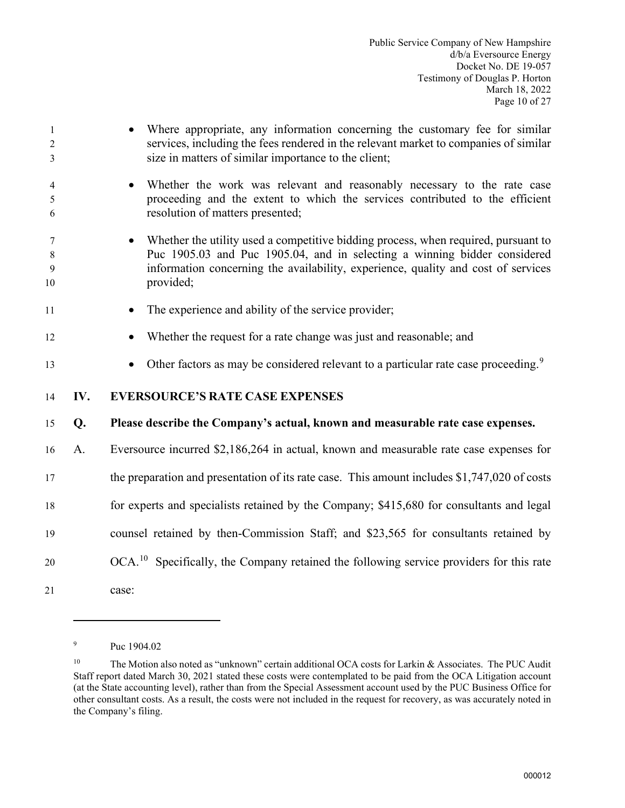1 • Where appropriate, any information concerning the customary fee for similar 2 services, including the fees rendered in the relevant market to companies of similar 3 size in matters of similar importance to the client; 4 • Whether the work was relevant and reasonably necessary to the rate case 5 proceeding and the extent to which the services contributed to the efficient 6 resolution of matters presented; 7 • Whether the utility used a competitive bidding process, when required, pursuant to 8 Puc 1905.03 and Puc 1905.04, and in selecting a winning bidder considered 9 information concerning the availability, experience, quality and cost of services 10 provided; 11 • The experience and ability of the service provider; 12 • Whether the request for a rate change was just and reasonable; and • Other factors as may be considered relevant to a particular rate case proceeding.<sup>[9](#page-11-1)</sup> 14 **IV. EVERSOURCE'S RATE CASE EXPENSES** 15 **Q. Please describe the Company's actual, known and measurable rate case expenses.**  16 A. Eversource incurred \$2,186,264 in actual, known and measurable rate case expenses for 17 the preparation and presentation of its rate case. This amount includes \$1,747,020 of costs 18 for experts and specialists retained by the Company; \$415,680 for consultants and legal 19 counsel retained by then-Commission Staff; and \$23,565 for consultants retained by  $QOCA<sup>10</sup>$  $QOCA<sup>10</sup>$  $QOCA<sup>10</sup>$  Specifically, the Company retained the following service providers for this rate 21 case:

<span id="page-11-0"></span><sup>9</sup> Puc 1904.02

<span id="page-11-2"></span><span id="page-11-1"></span><sup>&</sup>lt;sup>10</sup> The Motion also noted as "unknown" certain additional OCA costs for Larkin & Associates. The PUC Audit Staff report dated March 30, 2021 stated these costs were contemplated to be paid from the OCA Litigation account (at the State accounting level), rather than from the Special Assessment account used by the PUC Business Office for other consultant costs. As a result, the costs were not included in the request for recovery, as was accurately noted in the Company's filing.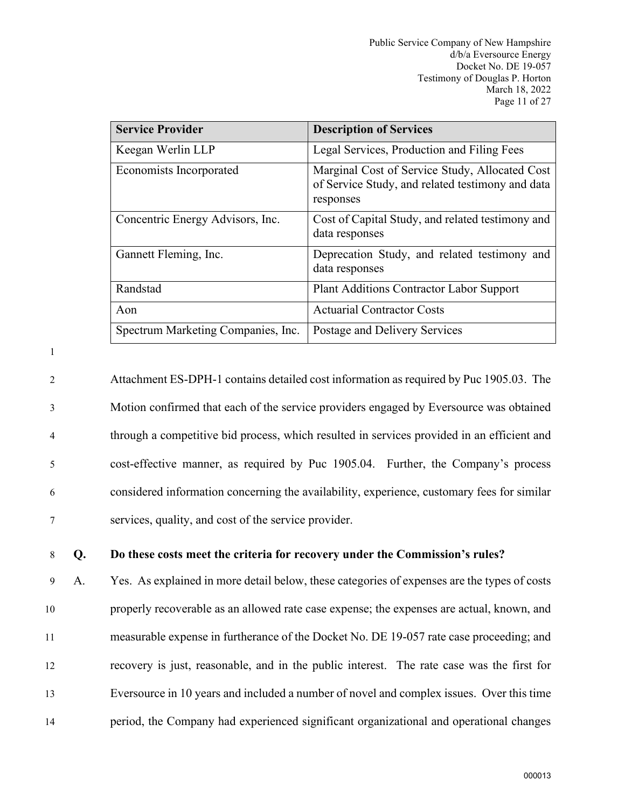| <b>Service Provider</b>            | <b>Description of Services</b>                                                                                  |
|------------------------------------|-----------------------------------------------------------------------------------------------------------------|
| Keegan Werlin LLP                  | Legal Services, Production and Filing Fees                                                                      |
| Economists Incorporated            | Marginal Cost of Service Study, Allocated Cost<br>of Service Study, and related testimony and data<br>responses |
| Concentric Energy Advisors, Inc.   | Cost of Capital Study, and related testimony and<br>data responses                                              |
| Gannett Fleming, Inc.              | Deprecation Study, and related testimony and<br>data responses                                                  |
| Randstad                           | Plant Additions Contractor Labor Support                                                                        |
| Aon                                | <b>Actuarial Contractor Costs</b>                                                                               |
| Spectrum Marketing Companies, Inc. | Postage and Delivery Services                                                                                   |

1

2 Attachment ES-DPH-1 contains detailed cost information as required by Puc 1905.03. The 3 Motion confirmed that each of the service providers engaged by Eversource was obtained 4 through a competitive bid process, which resulted in services provided in an efficient and 5 cost-effective manner, as required by Puc 1905.04. Further, the Company's process 6 considered information concerning the availability, experience, customary fees for similar 7 services, quality, and cost of the service provider.

8 **Q. Do these costs meet the criteria for recovery under the Commission's rules?** 

9 A. Yes. As explained in more detail below, these categories of expenses are the types of costs properly recoverable as an allowed rate case expense; the expenses are actual, known, and measurable expense in furtherance of the Docket No. DE 19-057 rate case proceeding; and recovery is just, reasonable, and in the public interest. The rate case was the first for Eversource in 10 years and included a number of novel and complex issues. Over this time period, the Company had experienced significant organizational and operational changes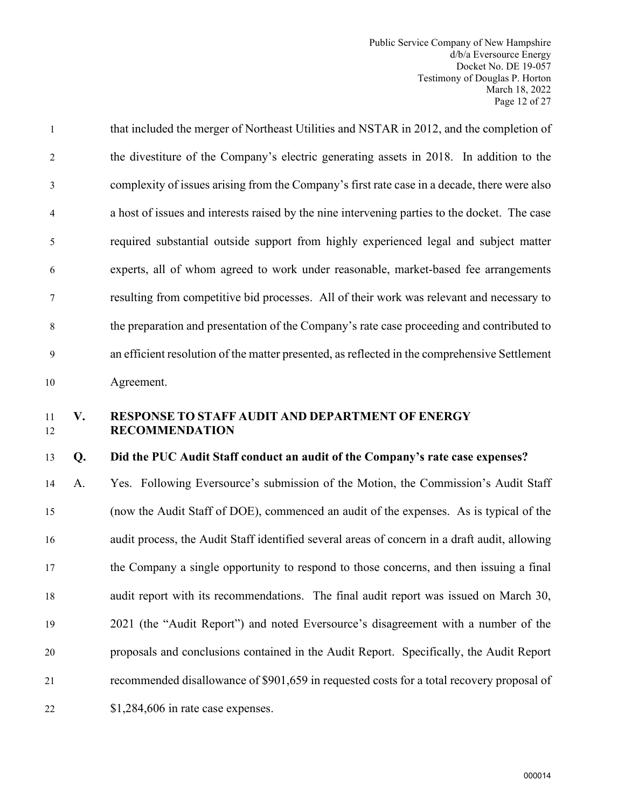1 that included the merger of Northeast Utilities and NSTAR in 2012, and the completion of 2 the divestiture of the Company's electric generating assets in 2018. In addition to the 3 complexity of issues arising from the Company's first rate case in a decade, there were also 4 a host of issues and interests raised by the nine intervening parties to the docket. The case 5 required substantial outside support from highly experienced legal and subject matter 6 experts, all of whom agreed to work under reasonable, market-based fee arrangements 7 resulting from competitive bid processes. All of their work was relevant and necessary to 8 the preparation and presentation of the Company's rate case proceeding and contributed to 9 an efficient resolution of the matter presented, as reflected in the comprehensive Settlement 10 Agreement.

# <span id="page-13-0"></span>11 **V. RESPONSE TO STAFF AUDIT AND DEPARTMENT OF ENERGY** 12 **RECOMMENDATION**

#### 13 **Q. Did the PUC Audit Staff conduct an audit of the Company's rate case expenses?**

 A. Yes. Following Eversource's submission of the Motion, the Commission's Audit Staff (now the Audit Staff of DOE), commenced an audit of the expenses. As is typical of the audit process, the Audit Staff identified several areas of concern in a draft audit, allowing the Company a single opportunity to respond to those concerns, and then issuing a final audit report with its recommendations. The final audit report was issued on March 30, 2021 (the "Audit Report") and noted Eversource's disagreement with a number of the proposals and conclusions contained in the Audit Report. Specifically, the Audit Report recommended disallowance of \$901,659 in requested costs for a total recovery proposal of 22 \$1,284,606 in rate case expenses.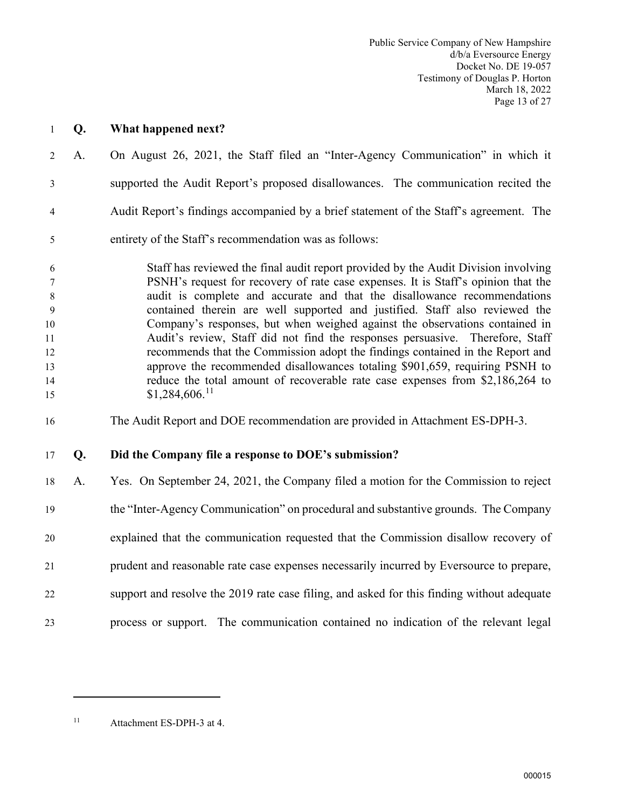- 1 **Q. What happened next?**
- 2 A. On August 26, 2021, the Staff filed an "Inter-Agency Communication" in which it 3 supported the Audit Report's proposed disallowances. The communication recited the 4 Audit Report's findings accompanied by a brief statement of the Staff's agreement. The 5 entirety of the Staff's recommendation was as follows:

6 Staff has reviewed the final audit report provided by the Audit Division involving 7 PSNH's request for recovery of rate case expenses. It is Staff's opinion that the 8 audit is complete and accurate and that the disallowance recommendations 9 contained therein are well supported and justified. Staff also reviewed the 10 Company's responses, but when weighed against the observations contained in 11 Audit's review, Staff did not find the responses persuasive. Therefore, Staff 12 recommends that the Commission adopt the findings contained in the Report and 13 approve the recommended disallowances totaling \$901,659, requiring PSNH to 14 reduce the total amount of recoverable rate case expenses from \$2,186,264 to 15 \$1,284,606.<sup>[11](#page-14-0)</sup>

16 The Audit Report and DOE recommendation are provided in Attachment ES-DPH-3.

#### 17 **Q. Did the Company file a response to DOE's submission?**

 A. Yes. On September 24, 2021, the Company filed a motion for the Commission to reject the "Inter-Agency Communication" on procedural and substantive grounds. The Company explained that the communication requested that the Commission disallow recovery of prudent and reasonable rate case expenses necessarily incurred by Eversource to prepare, support and resolve the 2019 rate case filing, and asked for this finding without adequate process or support. The communication contained no indication of the relevant legal

<span id="page-14-0"></span>11 Attachment ES-DPH-3 at 4.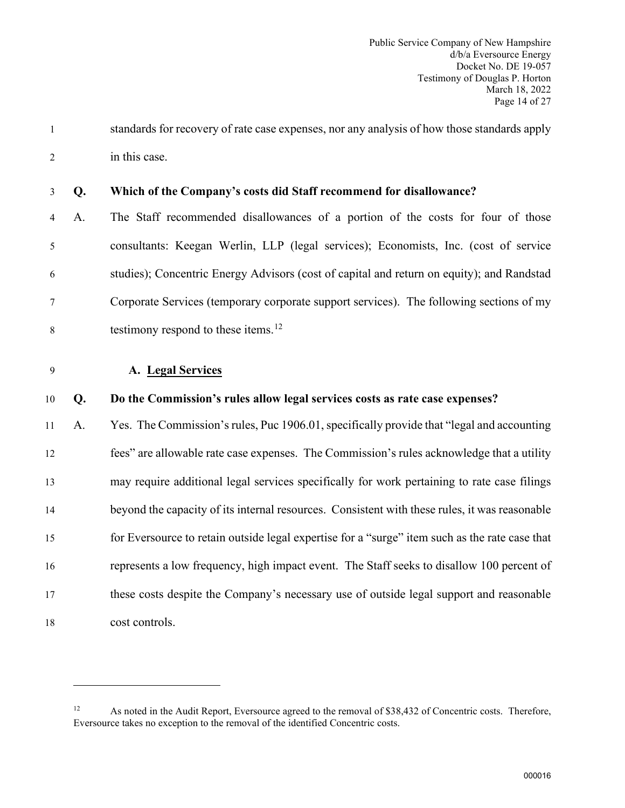1 standards for recovery of rate case expenses, nor any analysis of how those standards apply 2 in this case.

| 3 Q. |  | Which of the Company's costs did Staff recommend for disallowance? |
|------|--|--------------------------------------------------------------------|
|------|--|--------------------------------------------------------------------|

- 4 A. The Staff recommended disallowances of a portion of the costs for four of those 5 consultants: Keegan Werlin, LLP (legal services); Economists, Inc. (cost of service 6 studies); Concentric Energy Advisors (cost of capital and return on equity); and Randstad 7 Corporate Services (temporary corporate support services). The following sections of my testimony respond to these items.[12](#page-15-1) 8
- <span id="page-15-0"></span>9 **A. Legal Services**

#### 10 **Q. Do the Commission's rules allow legal services costs as rate case expenses?**

 A. Yes. The Commission's rules, Puc 1906.01,specifically provide that "legal and accounting fees" are allowable rate case expenses. The Commission's rules acknowledge that a utility may require additional legal services specifically for work pertaining to rate case filings beyond the capacity of its internal resources. Consistent with these rules, it was reasonable for Eversource to retain outside legal expertise for a "surge" item such as the rate case that represents a low frequency, high impact event. The Staff seeks to disallow 100 percent of these costs despite the Company's necessary use of outside legal support and reasonable cost controls.

<span id="page-15-1"></span><sup>&</sup>lt;sup>12</sup> As noted in the Audit Report, Eversource agreed to the removal of \$38,432 of Concentric costs. Therefore, Eversource takes no exception to the removal of the identified Concentric costs.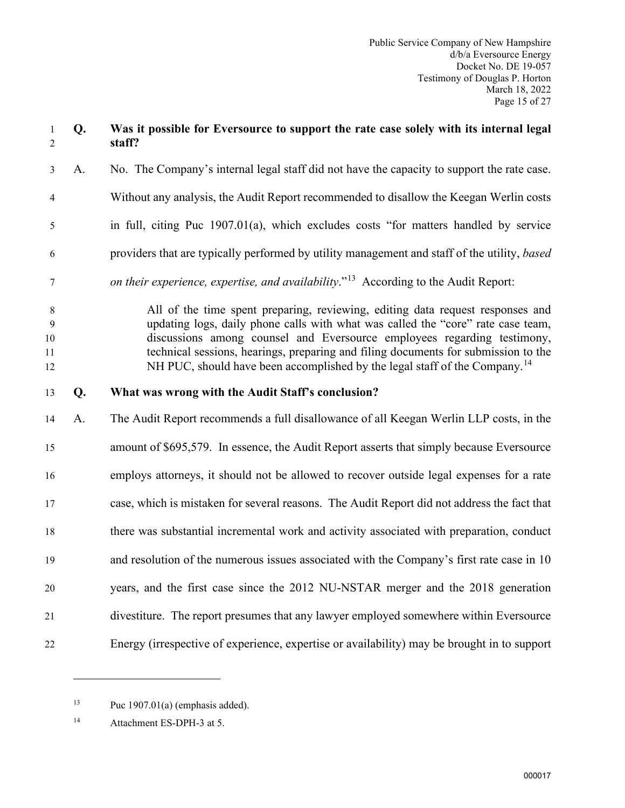# 1 **Q. Was it possible for Eversource to support the rate case solely with its internal legal**  2 **staff?** 3 A. No. The Company's internal legal staff did not have the capacity to support the rate case. 4 Without any analysis, the Audit Report recommended to disallow the Keegan Werlin costs 5 in full, citing Puc 1907.01(a), which excludes costs "for matters handled by service 6 providers that are typically performed by utility management and staff of the utility, *based n on their experience, expertise, and availability*.<sup>"13</sup> According to the Audit Report: 8 All of the time spent preparing, reviewing, editing data request responses and 9 updating logs, daily phone calls with what was called the "core" rate case team, 10 discussions among counsel and Eversource employees regarding testimony, 11 technical sessions, hearings, preparing and filing documents for submission to the  $N$ H PUC, should have been accomplished by the legal staff of the Company.<sup>[14](#page-16-1)</sup> 13 **Q. What was wrong with the Audit Staff's conclusion?** 14 A. The Audit Report recommends a full disallowance of all Keegan Werlin LLP costs, in the 15 amount of \$695,579. In essence, the Audit Report asserts that simply because Eversource 16 employs attorneys, it should not be allowed to recover outside legal expenses for a rate 17 case, which is mistaken for several reasons. The Audit Report did not address the fact that 18 there was substantial incremental work and activity associated with preparation, conduct 19 and resolution of the numerous issues associated with the Company's first rate case in 10 20 years, and the first case since the 2012 NU-NSTAR merger and the 2018 generation 21 divestiture. The report presumes that any lawyer employed somewhere within Eversource 22 Energy (irrespective of experience, expertise or availability) may be brought in to support

<span id="page-16-0"></span><sup>&</sup>lt;sup>13</sup> Puc 1907.01(a) (emphasis added).

<span id="page-16-1"></span><sup>14</sup> Attachment ES-DPH-3 at 5.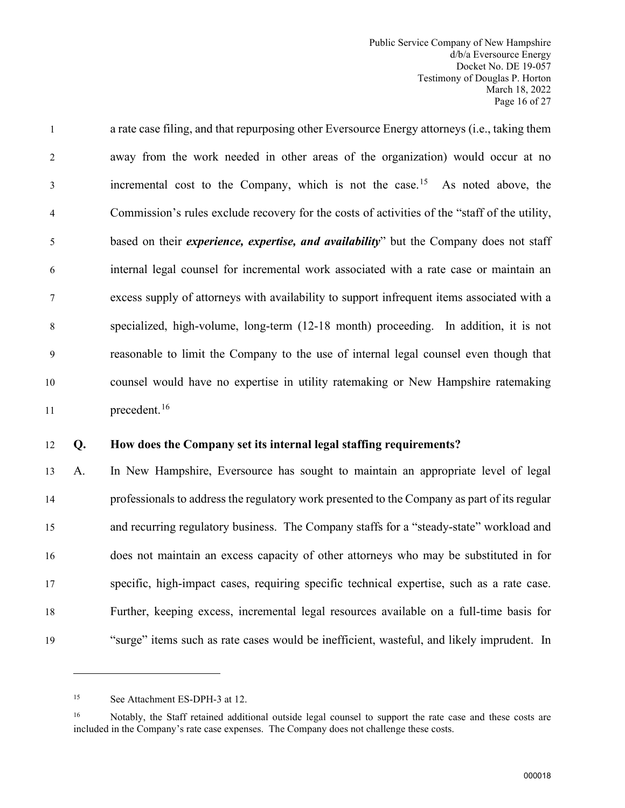1 a rate case filing, and that repurposing other Eversource Energy attorneys (i.e., taking them 2 away from the work needed in other areas of the organization) would occur at no incremental cost to the Company, which is not the case.<sup>[15](#page-17-0)</sup> As noted above, the 4 Commission's rules exclude recovery for the costs of activities of the "staff of the utility, 5 based on their *experience, expertise, and availability*" but the Company does not staff 6 internal legal counsel for incremental work associated with a rate case or maintain an 7 excess supply of attorneys with availability to support infrequent items associated with a 8 specialized, high-volume, long-term (12-18 month) proceeding. In addition, it is not 9 reasonable to limit the Company to the use of internal legal counsel even though that 10 counsel would have no expertise in utility ratemaking or New Hampshire ratemaking  $11$  precedent.<sup>[16](#page-17-1)</sup>

#### 12 **Q. How does the Company set its internal legal staffing requirements?**

 A. In New Hampshire, Eversource has sought to maintain an appropriate level of legal professionals to address the regulatory work presented to the Company as part of its regular and recurring regulatory business. The Company staffs for a "steady-state" workload and does not maintain an excess capacity of other attorneys who may be substituted in for specific, high-impact cases, requiring specific technical expertise, such as a rate case. Further, keeping excess, incremental legal resources available on a full-time basis for "surge" items such as rate cases would be inefficient, wasteful, and likely imprudent. In

<span id="page-17-0"></span><sup>15</sup> See Attachment ES-DPH-3 at 12.

<span id="page-17-1"></span><sup>&</sup>lt;sup>16</sup> Notably, the Staff retained additional outside legal counsel to support the rate case and these costs are included in the Company's rate case expenses. The Company does not challenge these costs.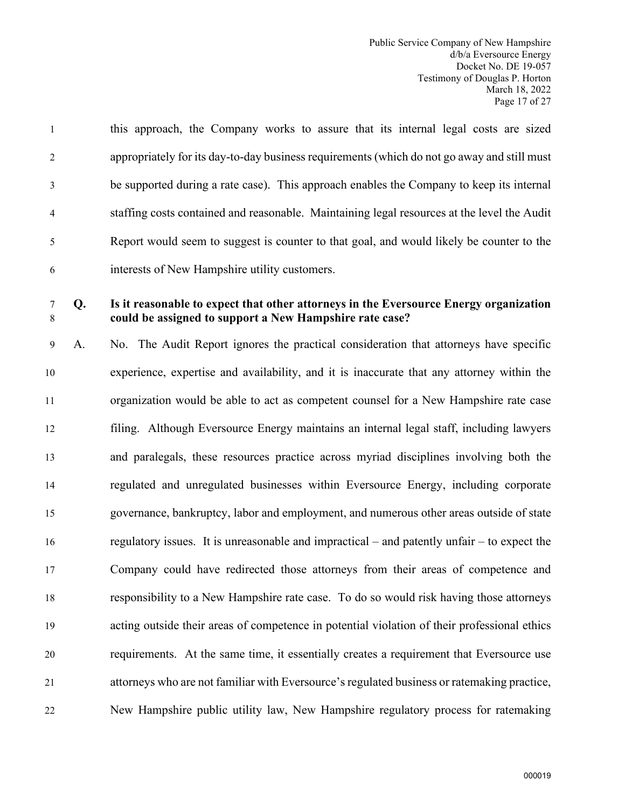| $\mathbf{1}$   | this approach, the Company works to assure that its internal legal costs are sized          |
|----------------|---------------------------------------------------------------------------------------------|
| $\overline{2}$ | appropriately for its day-to-day business requirements (which do not go away and still must |
| 3              | be supported during a rate case). This approach enables the Company to keep its internal    |
| 4              | staffing costs contained and reasonable. Maintaining legal resources at the level the Audit |
| 5              | Report would seem to suggest is counter to that goal, and would likely be counter to the    |
| 6              | interests of New Hampshire utility customers.                                               |

### 7 **Q. Is it reasonable to expect that other attorneys in the Eversource Energy organization**  8 **could be assigned to support a New Hampshire rate case?**

9 A. No. The Audit Report ignores the practical consideration that attorneys have specific experience, expertise and availability, and it is inaccurate that any attorney within the organization would be able to act as competent counsel for a New Hampshire rate case filing. Although Eversource Energy maintains an internal legal staff, including lawyers and paralegals, these resources practice across myriad disciplines involving both the regulated and unregulated businesses within Eversource Energy, including corporate governance, bankruptcy, labor and employment, and numerous other areas outside of state regulatory issues. It is unreasonable and impractical – and patently unfair – to expect the Company could have redirected those attorneys from their areas of competence and responsibility to a New Hampshire rate case. To do so would risk having those attorneys acting outside their areas of competence in potential violation of their professional ethics requirements. At the same time, it essentially creates a requirement that Eversource use attorneys who are not familiar with Eversource's regulated business or ratemaking practice, New Hampshire public utility law, New Hampshire regulatory process for ratemaking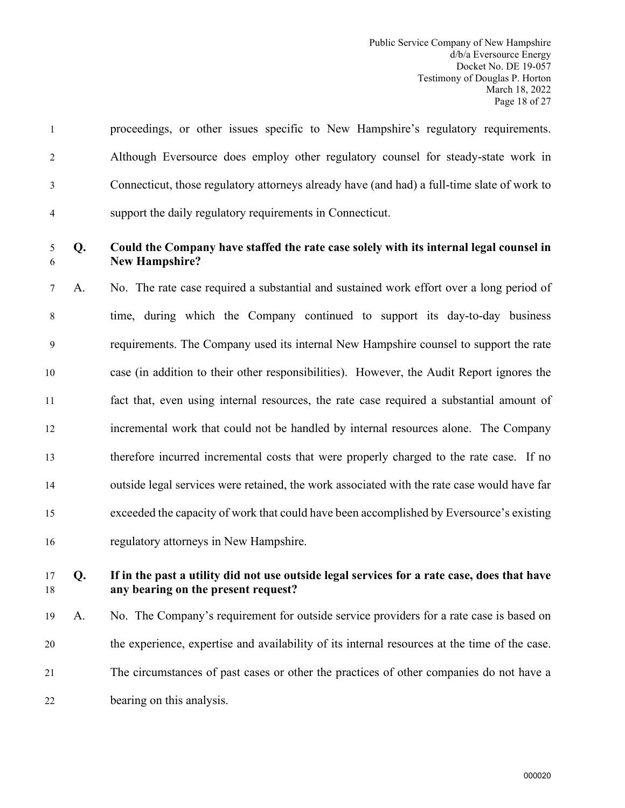|                | proceedings, or other issues specific to New Hampshire's regulatory requirements.           |
|----------------|---------------------------------------------------------------------------------------------|
| 2              | Although Eversource does employ other regulatory counsel for steady-state work in           |
| 3              | Connecticut, those regulatory attorneys already have (and had) a full-time slate of work to |
| $\overline{4}$ | support the daily regulatory requirements in Connecticut.                                   |

# 5 **Q. Could the Company have staffed the rate case solely with its internal legal counsel in**  6 **New Hampshire?**

7 A. No. The rate case required a substantial and sustained work effort over a long period of 8 time, during which the Company continued to support its day-to-day business 9 requirements. The Company used its internal New Hampshire counsel to support the rate case (in addition to their other responsibilities). However, the Audit Report ignores the fact that, even using internal resources, the rate case required a substantial amount of incremental work that could not be handled by internal resources alone. The Company therefore incurred incremental costs that were properly charged to the rate case. If no outside legal services were retained, the work associated with the rate case would have far exceeded the capacity of work that could have been accomplished by Eversource's existing regulatory attorneys in New Hampshire.

# 17 **Q. If in the past a utility did not use outside legal services for a rate case, does that have**  18 **any bearing on the present request?**

 A. No. The Company's requirement for outside service providers for a rate case is based on the experience, expertise and availability of its internal resources at the time of the case. The circumstances of past cases or other the practices of other companies do not have a bearing on this analysis.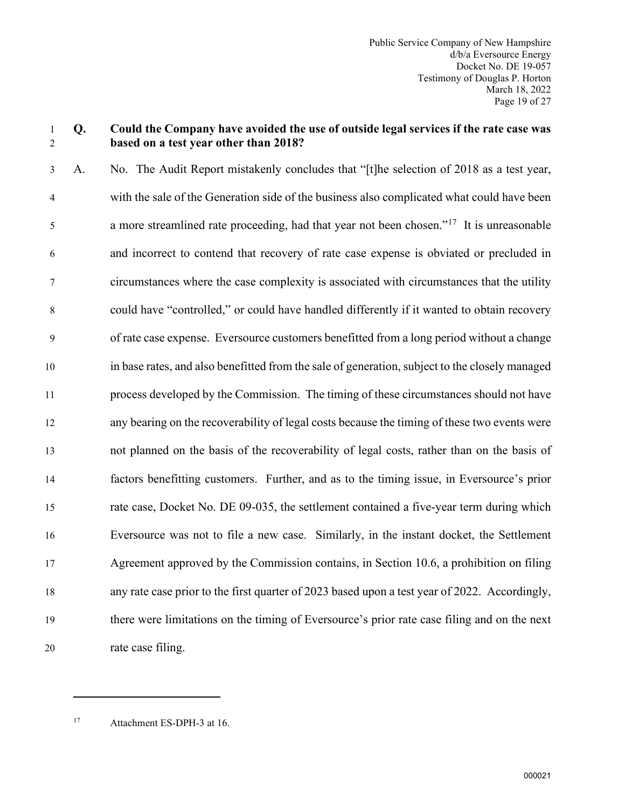# 1 **Q. Could the Company have avoided the use of outside legal services if the rate case was**  2 **based on a test year other than 2018?**

3 A. No. The Audit Report mistakenly concludes that "[t]he selection of 2018 as a test year, 4 with the sale of the Generation side of the business also complicated what could have been a more streamlined rate proceeding, had that year not been chosen."<sup>[17](#page-20-0)</sup> It is unreasonable 6 and incorrect to contend that recovery of rate case expense is obviated or precluded in 7 circumstances where the case complexity is associated with circumstances that the utility 8 could have "controlled," or could have handled differently if it wanted to obtain recovery 9 of rate case expense. Eversource customers benefitted from a long period without a change in base rates, and also benefitted from the sale of generation, subject to the closely managed process developed by the Commission. The timing of these circumstances should not have any bearing on the recoverability of legal costs because the timing of these two events were not planned on the basis of the recoverability of legal costs, rather than on the basis of factors benefitting customers. Further, and as to the timing issue, in Eversource's prior rate case, Docket No. DE 09-035, the settlement contained a five-year term during which Eversource was not to file a new case. Similarly, in the instant docket, the Settlement Agreement approved by the Commission contains, in Section 10.6, a prohibition on filing any rate case prior to the first quarter of 2023 based upon a test year of 2022. Accordingly, there were limitations on the timing of Eversource's prior rate case filing and on the next rate case filing.

<span id="page-20-0"></span>17 Attachment ES-DPH-3 at 16.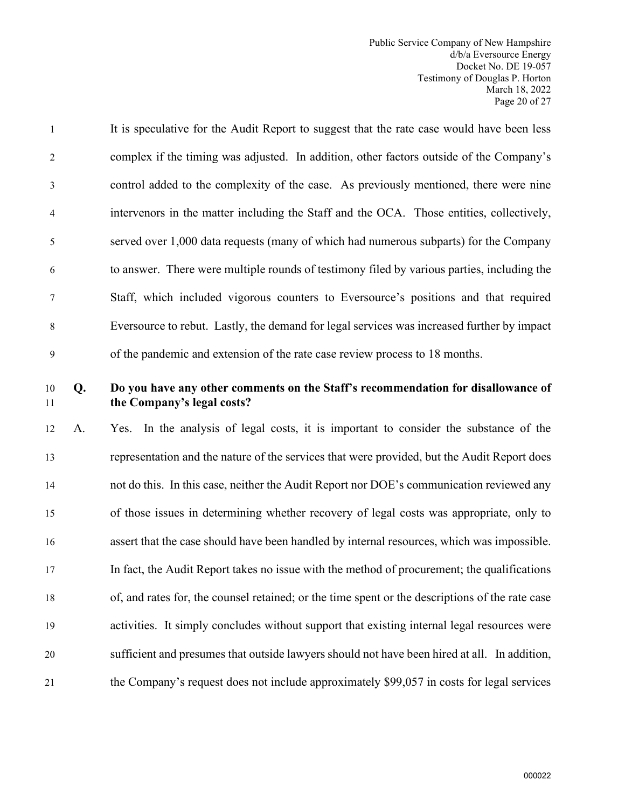- 1 It is speculative for the Audit Report to suggest that the rate case would have been less 2 complex if the timing was adjusted. In addition, other factors outside of the Company's 3 control added to the complexity of the case. As previously mentioned, there were nine 4 intervenors in the matter including the Staff and the OCA. Those entities, collectively, 5 served over 1,000 data requests (many of which had numerous subparts) for the Company 6 to answer. There were multiple rounds of testimony filed by various parties, including the 7 Staff, which included vigorous counters to Eversource's positions and that required 8 Eversource to rebut. Lastly, the demand for legal services was increased further by impact 9 of the pandemic and extension of the rate case review process to 18 months.
- 

# 10 **Q. Do you have any other comments on the Staff's recommendation for disallowance of**  11 **the Company's legal costs?**

 A. Yes. In the analysis of legal costs, it is important to consider the substance of the representation and the nature of the services that were provided, but the Audit Report does not do this. In this case, neither the Audit Report nor DOE's communication reviewed any of those issues in determining whether recovery of legal costs was appropriate, only to assert that the case should have been handled by internal resources, which was impossible. In fact, the Audit Report takes no issue with the method of procurement; the qualifications of, and rates for, the counsel retained; or the time spent or the descriptions of the rate case activities. It simply concludes without support that existing internal legal resources were sufficient and presumes that outside lawyers should not have been hired at all. In addition, the Company's request does not include approximately \$99,057 in costs for legal services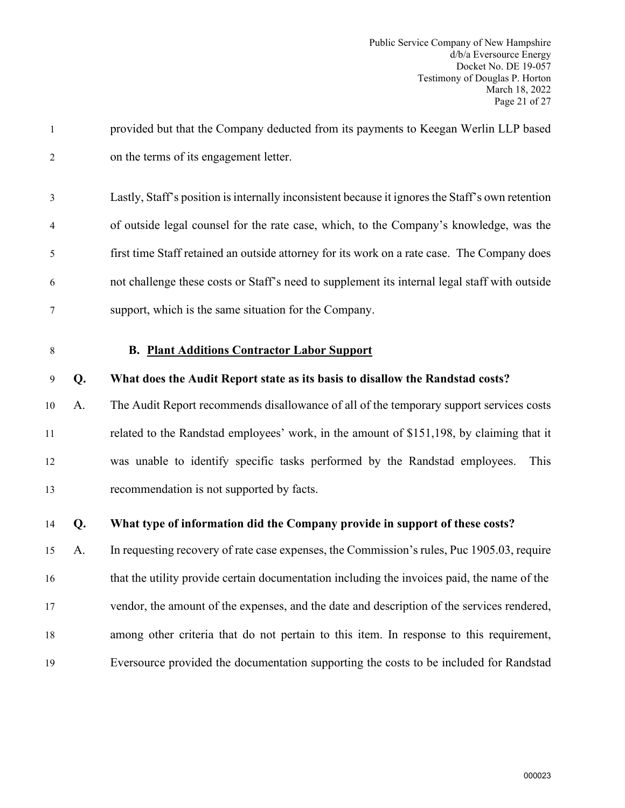<span id="page-22-0"></span>

| $\mathbf{1}$   |    | provided but that the Company deducted from its payments to Keegan Werlin LLP based              |
|----------------|----|--------------------------------------------------------------------------------------------------|
| $\overline{2}$ |    | on the terms of its engagement letter.                                                           |
| 3              |    | Lastly, Staff's position is internally inconsistent because it ignores the Staff's own retention |
| 4              |    | of outside legal counsel for the rate case, which, to the Company's knowledge, was the           |
| 5              |    | first time Staff retained an outside attorney for its work on a rate case. The Company does      |
| 6              |    | not challenge these costs or Staff's need to supplement its internal legal staff with outside    |
| 7              |    | support, which is the same situation for the Company.                                            |
| $8\,$          |    | <b>B. Plant Additions Contractor Labor Support</b>                                               |
| 9              | Q. | What does the Audit Report state as its basis to disallow the Randstad costs?                    |
| 10             | A. | The Audit Report recommends disallowance of all of the temporary support services costs          |
| 11             |    | related to the Randstad employees' work, in the amount of \$151,198, by claiming that it         |
| 12             |    | was unable to identify specific tasks performed by the Randstad employees.<br>This               |
| 13             |    | recommendation is not supported by facts.                                                        |
| 14             | Q. | What type of information did the Company provide in support of these costs?                      |
| 15             | А. | In requesting recovery of rate case expenses, the Commission's rules, Puc 1905.03, require       |
| 16             |    | that the utility provide certain documentation including the invoices paid, the name of the      |
| 17             |    | vendor, the amount of the expenses, and the date and description of the services rendered,       |
| 18             |    | among other criteria that do not pertain to this item. In response to this requirement,          |
| 19             |    | Eversource provided the documentation supporting the costs to be included for Randstad           |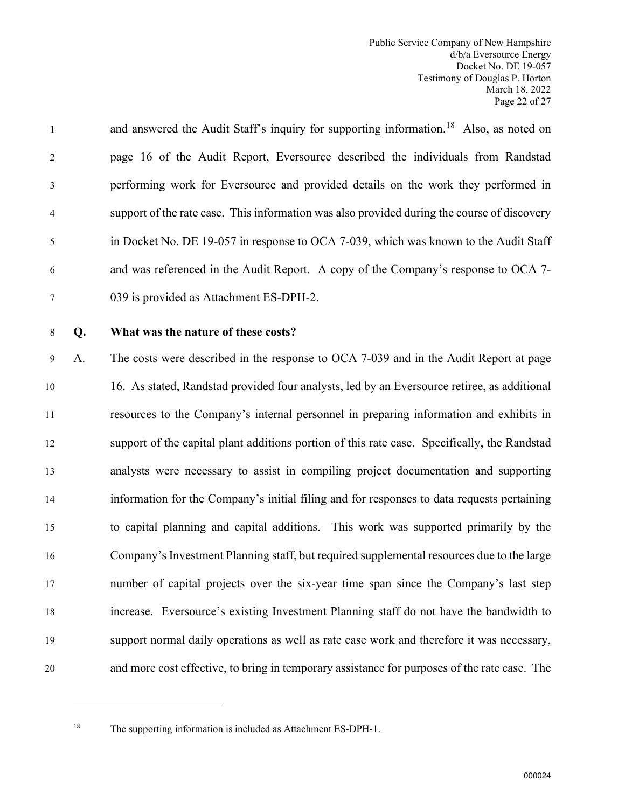# and answered the Audit Staff's inquiry for supporting information.<sup>18</sup> Also, as noted on 2 page 16 of the Audit Report, Eversource described the individuals from Randstad 3 performing work for Eversource and provided details on the work they performed in 4 support of the rate case. This information was also provided during the course of discovery 5 in Docket No. DE 19-057 in response to OCA 7-039, which was known to the Audit Staff 6 and was referenced in the Audit Report. A copy of the Company's response to OCA 7- 7 039 is provided as Attachment ES-DPH-2.

# 8 **Q. What was the nature of these costs?**

9 A. The costs were described in the response to OCA 7-039 and in the Audit Report at page 16. As stated, Randstad provided four analysts, led by an Eversource retiree, as additional resources to the Company's internal personnel in preparing information and exhibits in support of the capital plant additions portion of this rate case. Specifically, the Randstad analysts were necessary to assist in compiling project documentation and supporting information for the Company's initial filing and for responses to data requests pertaining to capital planning and capital additions. This work was supported primarily by the Company's Investment Planning staff, but required supplemental resources due to the large number of capital projects over the six-year time span since the Company's last step increase. Eversource's existing Investment Planning staff do not have the bandwidth to support normal daily operations as well as rate case work and therefore it was necessary, and more cost effective, to bring in temporary assistance for purposes of the rate case. The

<span id="page-23-0"></span>

<sup>&</sup>lt;sup>18</sup> The supporting information is included as Attachment ES-DPH-1.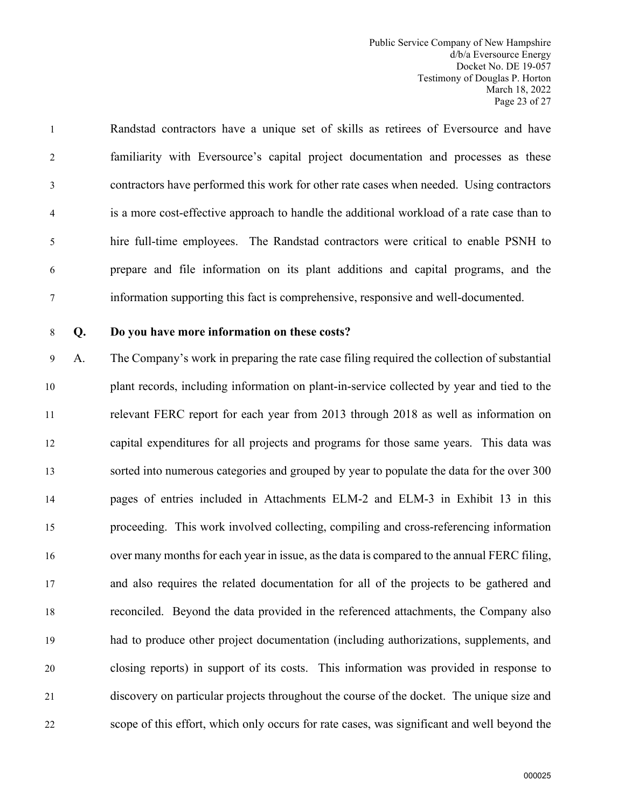Public Service Company of New Hampshire d/b/a Eversource Energy Docket No. DE 19-057 Testimony of Douglas P. Horton March 18, 2022 Page 23 of 27

1 Randstad contractors have a unique set of skills as retirees of Eversource and have 2 familiarity with Eversource's capital project documentation and processes as these 3 contractors have performed this work for other rate cases when needed. Using contractors 4 is a more cost-effective approach to handle the additional workload of a rate case than to 5 hire full-time employees. The Randstad contractors were critical to enable PSNH to 6 prepare and file information on its plant additions and capital programs, and the 7 information supporting this fact is comprehensive, responsive and well-documented.

# 8 **Q. Do you have more information on these costs?**

9 A. The Company's work in preparing the rate case filing required the collection of substantial plant records, including information on plant-in-service collected by year and tied to the relevant FERC report for each year from 2013 through 2018 as well as information on capital expenditures for all projects and programs for those same years. This data was sorted into numerous categories and grouped by year to populate the data for the over 300 pages of entries included in Attachments ELM-2 and ELM-3 in Exhibit 13 in this proceeding. This work involved collecting, compiling and cross-referencing information over many months for each year in issue, as the data is compared to the annual FERC filing, and also requires the related documentation for all of the projects to be gathered and reconciled. Beyond the data provided in the referenced attachments, the Company also had to produce other project documentation (including authorizations, supplements, and closing reports) in support of its costs. This information was provided in response to discovery on particular projects throughout the course of the docket. The unique size and scope of this effort, which only occurs for rate cases, was significant and well beyond the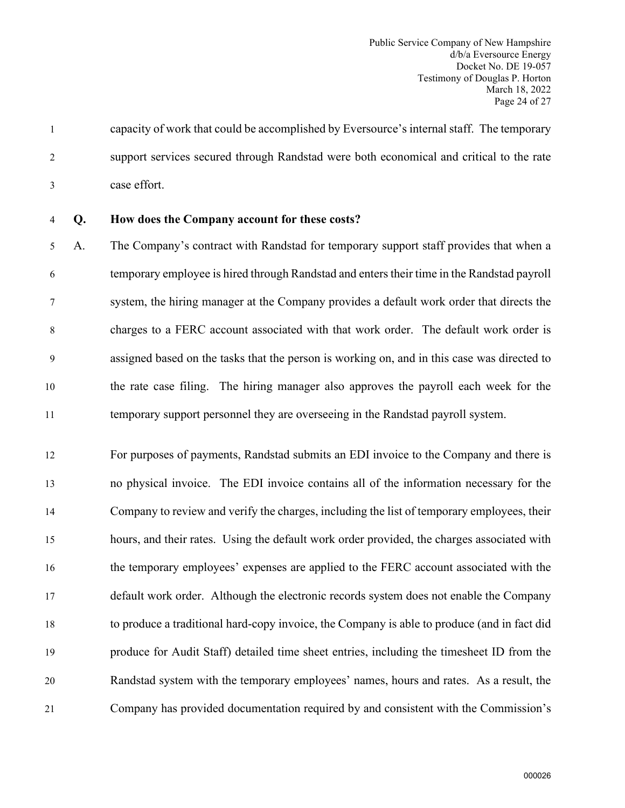1 capacity of work that could be accomplished by Eversource's internal staff. The temporary 2 support services secured through Randstad were both economical and critical to the rate 3 case effort.

4 **Q. How does the Company account for these costs?**

5 A. The Company's contract with Randstad for temporary support staff provides that when a 6 temporary employee is hired through Randstad and enters their time in the Randstad payroll 7 system, the hiring manager at the Company provides a default work order that directs the 8 charges to a FERC account associated with that work order. The default work order is 9 assigned based on the tasks that the person is working on, and in this case was directed to 10 the rate case filing. The hiring manager also approves the payroll each week for the 11 temporary support personnel they are overseeing in the Randstad payroll system.

 For purposes of payments, Randstad submits an EDI invoice to the Company and there is no physical invoice. The EDI invoice contains all of the information necessary for the Company to review and verify the charges, including the list of temporary employees, their hours, and their rates. Using the default work order provided, the charges associated with the temporary employees' expenses are applied to the FERC account associated with the default work order. Although the electronic records system does not enable the Company to produce a traditional hard-copy invoice, the Company is able to produce (and in fact did produce for Audit Staff) detailed time sheet entries, including the timesheet ID from the Randstad system with the temporary employees' names, hours and rates. As a result, the Company has provided documentation required by and consistent with the Commission's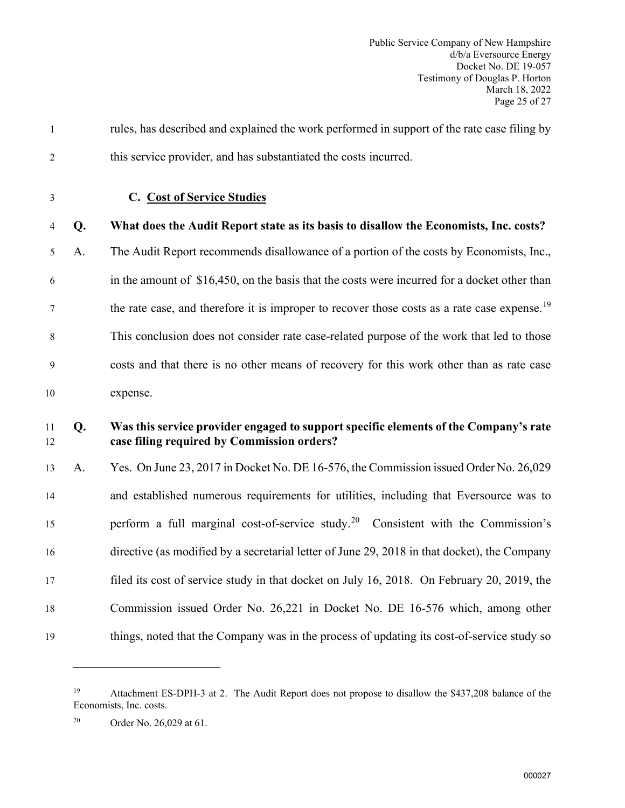<span id="page-26-0"></span>

| $\mathbf{1}$   |    | rules, has described and explained the work performed in support of the rate case filing by                                        |
|----------------|----|------------------------------------------------------------------------------------------------------------------------------------|
| 2              |    | this service provider, and has substantiated the costs incurred.                                                                   |
| $\mathfrak{Z}$ |    | C. Cost of Service Studies                                                                                                         |
| 4              | Q. | What does the Audit Report state as its basis to disallow the Economists, Inc. costs?                                              |
| 5              | A. | The Audit Report recommends disallowance of a portion of the costs by Economists, Inc.,                                            |
| 6              |    | in the amount of \$16,450, on the basis that the costs were incurred for a docket other than                                       |
| 7              |    | the rate case, and therefore it is improper to recover those costs as a rate case expense. <sup>19</sup>                           |
| 8              |    | This conclusion does not consider rate case-related purpose of the work that led to those                                          |
| 9              |    | costs and that there is no other means of recovery for this work other than as rate case                                           |
| 10             |    | expense.                                                                                                                           |
| 11             |    |                                                                                                                                    |
| 12             | Q. | Was this service provider engaged to support specific elements of the Company's rate<br>case filing required by Commission orders? |
| 13             | A. | Yes. On June 23, 2017 in Docket No. DE 16-576, the Commission issued Order No. 26,029                                              |
| 14             |    | and established numerous requirements for utilities, including that Eversource was to                                              |
| 15             |    | perform a full marginal cost-of-service study. <sup>20</sup> Consistent with the Commission's                                      |
| 16             |    | directive (as modified by a secretarial letter of June 29, 2018 in that docket), the Company                                       |
| 17             |    | filed its cost of service study in that docket on July 16, 2018. On February 20, 2019, the                                         |
| 18             |    | Commission issued Order No. 26,221 in Docket No. DE 16-576 which, among other                                                      |

<span id="page-26-1"></span><sup>19</sup> Attachment ES-DPH-3 at 2. The Audit Report does not propose to disallow the \$437,208 balance of the Economists, Inc. costs.

<span id="page-26-2"></span><sup>20</sup> Order No. 26,029 at 61.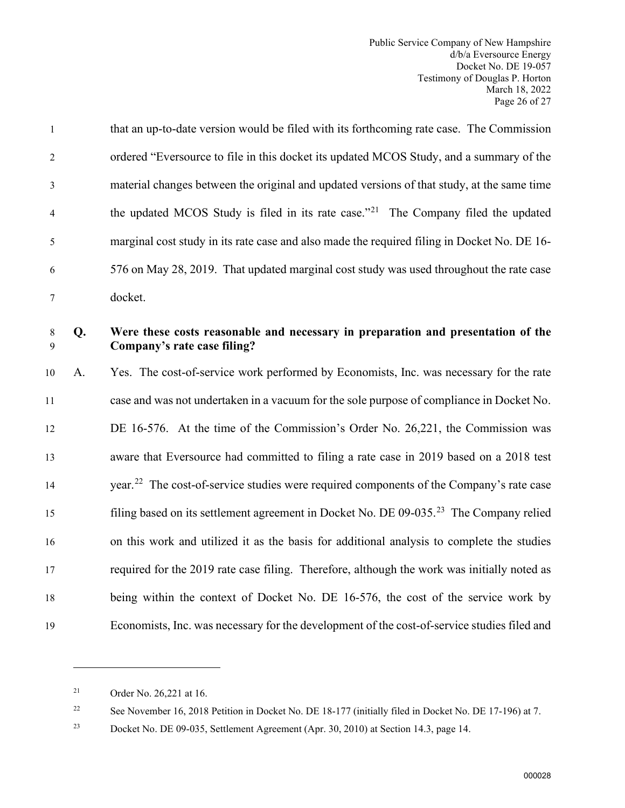|                | that an up-to-date version would be filed with its forthcoming rate case. The Commission       |
|----------------|------------------------------------------------------------------------------------------------|
| 2              | ordered "Eversource to file in this docket its updated MCOS Study, and a summary of the        |
| 3              | material changes between the original and updated versions of that study, at the same time     |
| $\overline{4}$ | the updated MCOS Study is filed in its rate case." <sup>21</sup> The Company filed the updated |
| 5              | marginal cost study in its rate case and also made the required filing in Docket No. DE 16-    |
| 6              | 576 on May 28, 2019. That updated marginal cost study was used throughout the rate case        |
|                | docket.                                                                                        |

#### 8 **Q. Were these costs reasonable and necessary in preparation and presentation of the**  9 **Company's rate case filing?**

 A. Yes. The cost-of-service work performed by Economists, Inc. was necessary for the rate case and was not undertaken in a vacuum for the sole purpose of compliance in Docket No. DE 16-576. At the time of the Commission's Order No. 26,221, the Commission was aware that Eversource had committed to filing a rate case in 2019 based on a 2018 test 14 vear.<sup>[22](#page-27-1)</sup> The cost-of-service studies were required components of the Company's rate case filing based on its settlement agreement in Docket No. DE  $09-035.^{23}$  $09-035.^{23}$  $09-035.^{23}$  The Company relied on this work and utilized it as the basis for additional analysis to complete the studies required for the 2019 rate case filing. Therefore, although the work was initially noted as being within the context of Docket No. DE 16-576, the cost of the service work by Economists, Inc. was necessary for the development of the cost-of-service studies filed and

<span id="page-27-1"></span><sup>22</sup> See November 16, 2018 Petition in Docket No. DE 18-177 (initially filed in Docket No. DE 17-196) at 7.

<span id="page-27-0"></span><sup>21</sup> Order No. 26,221 at 16.

<span id="page-27-2"></span><sup>23</sup> Docket No. DE 09-035, Settlement Agreement (Apr. 30, 2010) at Section 14.3, page 14.